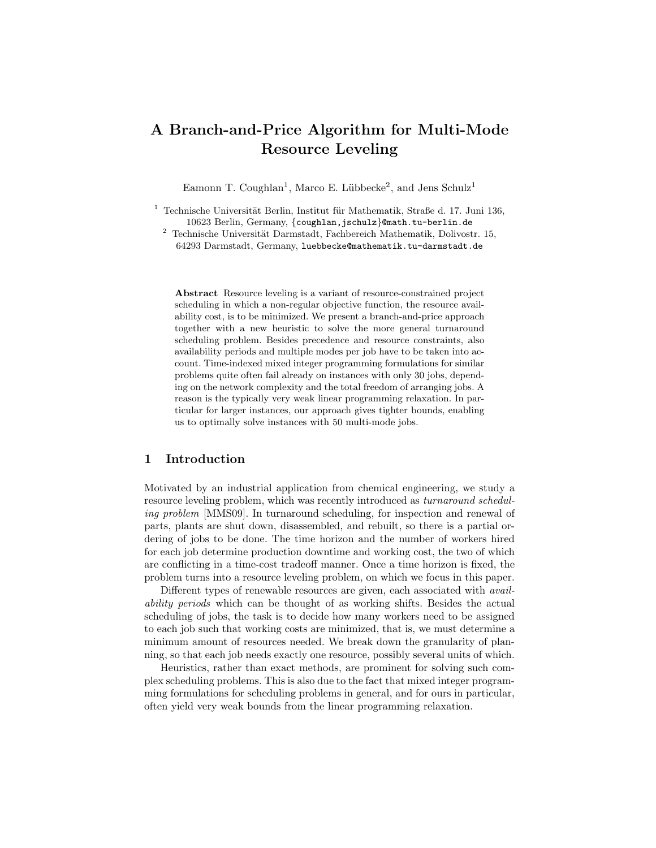# A Branch-and-Price Algorithm for Multi-Mode Resource Leveling

Eamonn T. Coughlan<sup>1</sup>, Marco E. Lübbecke<sup>2</sup>, and Jens Schulz<sup>1</sup>

- $1$  Technische Universität Berlin, Institut für Mathematik, Straße d. 17. Juni 136, 10623 Berlin, Germany, {coughlan,jschulz}@math.tu-berlin.de
	- $^{\rm 2}$  Technische Universität Darmstadt, Fachbereich Mathematik, Dolivostr. 15, 64293 Darmstadt, Germany, luebbecke@mathematik.tu-darmstadt.de

Abstract Resource leveling is a variant of resource-constrained project scheduling in which a non-regular objective function, the resource availability cost, is to be minimized. We present a branch-and-price approach together with a new heuristic to solve the more general turnaround scheduling problem. Besides precedence and resource constraints, also availability periods and multiple modes per job have to be taken into account. Time-indexed mixed integer programming formulations for similar problems quite often fail already on instances with only 30 jobs, depending on the network complexity and the total freedom of arranging jobs. A reason is the typically very weak linear programming relaxation. In particular for larger instances, our approach gives tighter bounds, enabling us to optimally solve instances with 50 multi-mode jobs.

# 1 Introduction

Motivated by an industrial application from chemical engineering, we study a resource leveling problem, which was recently introduced as turnaround scheduling problem [MMS09]. In turnaround scheduling, for inspection and renewal of parts, plants are shut down, disassembled, and rebuilt, so there is a partial ordering of jobs to be done. The time horizon and the number of workers hired for each job determine production downtime and working cost, the two of which are conflicting in a time-cost tradeoff manner. Once a time horizon is fixed, the problem turns into a resource leveling problem, on which we focus in this paper.

Different types of renewable resources are given, each associated with availability periods which can be thought of as working shifts. Besides the actual scheduling of jobs, the task is to decide how many workers need to be assigned to each job such that working costs are minimized, that is, we must determine a minimum amount of resources needed. We break down the granularity of planning, so that each job needs exactly one resource, possibly several units of which.

Heuristics, rather than exact methods, are prominent for solving such complex scheduling problems. This is also due to the fact that mixed integer programming formulations for scheduling problems in general, and for ours in particular, often yield very weak bounds from the linear programming relaxation.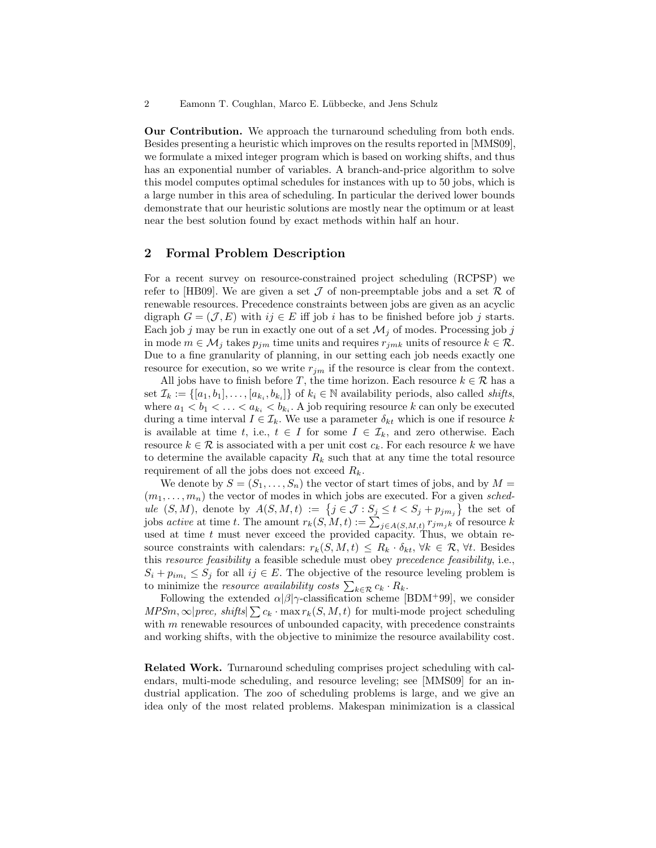Our Contribution. We approach the turnaround scheduling from both ends. Besides presenting a heuristic which improves on the results reported in [MMS09], we formulate a mixed integer program which is based on working shifts, and thus has an exponential number of variables. A branch-and-price algorithm to solve this model computes optimal schedules for instances with up to 50 jobs, which is a large number in this area of scheduling. In particular the derived lower bounds demonstrate that our heuristic solutions are mostly near the optimum or at least near the best solution found by exact methods within half an hour.

## 2 Formal Problem Description

For a recent survey on resource-constrained project scheduling (RCPSP) we refer to [HB09]. We are given a set  $\mathcal J$  of non-preemptable jobs and a set  $\mathcal R$  of renewable resources. Precedence constraints between jobs are given as an acyclic digraph  $G = (\mathcal{J}, E)$  with  $ij \in E$  iff job i has to be finished before job j starts. Each job j may be run in exactly one out of a set  $\mathcal{M}_i$  of modes. Processing job j in mode  $m \in \mathcal{M}_j$  takes  $p_{jm}$  time units and requires  $r_{jmk}$  units of resource  $k \in \mathcal{R}$ . Due to a fine granularity of planning, in our setting each job needs exactly one resource for execution, so we write  $r_{jm}$  if the resource is clear from the context.

All jobs have to finish before T, the time horizon. Each resource  $k \in \mathcal{R}$  has a set  $\mathcal{I}_k := \{ [a_1, b_1], \ldots, [a_{k_i}, b_{k_i}] \}$  of  $k_i \in \mathbb{N}$  availability periods, also called *shifts*, where  $a_1 < b_1 < \ldots < a_{k_i} < b_{k_i}$ . A job requiring resource k can only be executed during a time interval  $I \in \mathcal{I}_k$ . We use a parameter  $\delta_{kt}$  which is one if resource k is available at time t, i.e.,  $t \in I$  for some  $I \in \mathcal{I}_k$ , and zero otherwise. Each resource  $k \in \mathcal{R}$  is associated with a per unit cost  $c_k$ . For each resource k we have to determine the available capacity  $R_k$  such that at any time the total resource requirement of all the jobs does not exceed  $R_k$ .

We denote by  $S = (S_1, \ldots, S_n)$  the vector of start times of jobs, and by  $M =$  $(m_1, \ldots, m_n)$  the vector of modes in which jobs are executed. For a given schedule  $(S, M)$ , denote by  $A(S, M, t) := \{j \in \mathcal{J} : S_j \le t < S_j + p_{jm_j}\}\$ the set of jobs *active* at time t. The amount  $r_k(S, M, t) := \sum_{j \in A(S, M, t)} r_{jm_jk}$  of resource k used at time  $t$  must never exceed the provided capacity. Thus, we obtain resource constraints with calendars:  $r_k(S, M, t) \leq R_k \cdot \delta_{kt}$ ,  $\forall k \in \mathcal{R}$ ,  $\forall t$ . Besides this resource feasibility a feasible schedule must obey precedence feasibility, i.e.,  $S_i + p_{im_i} \leq S_j$  for all  $ij \in E$ . The objective of the resource leveling problem is to minimize the *resource availability costs*  $\sum_{k \in \mathcal{R}} c_k \cdot R_k$ .

Following the extended  $\alpha|\beta|\gamma$ -classification scheme [BDM+99], we consider  $MPSm, \infty$ |prec, shifts| $\sum c_k \cdot \max r_k(S, M, t)$  for multi-mode project scheduling with m renewable resources of unbounded capacity, with precedence constraints and working shifts, with the objective to minimize the resource availability cost.

Related Work. Turnaround scheduling comprises project scheduling with calendars, multi-mode scheduling, and resource leveling; see [MMS09] for an industrial application. The zoo of scheduling problems is large, and we give an idea only of the most related problems. Makespan minimization is a classical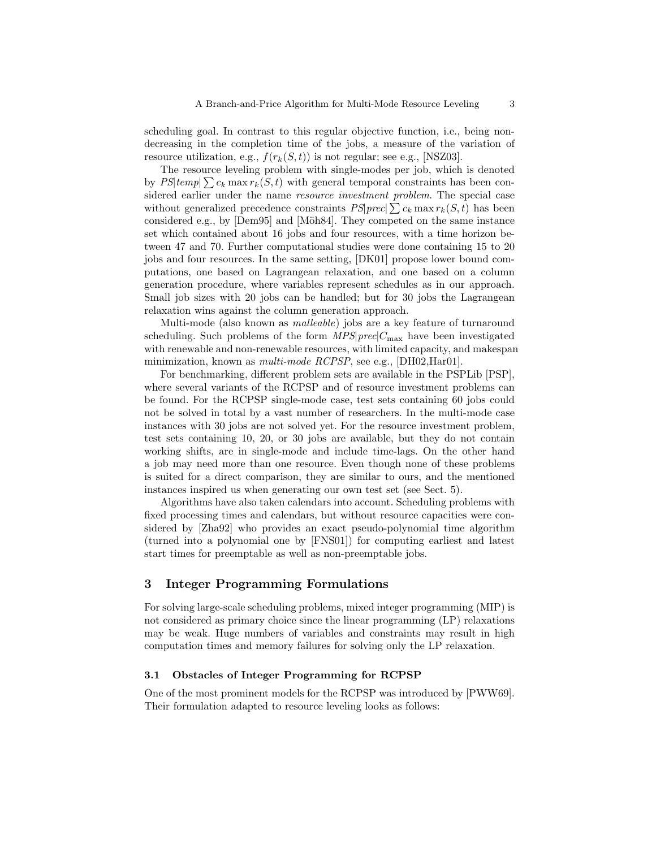scheduling goal. In contrast to this regular objective function, i.e., being nondecreasing in the completion time of the jobs, a measure of the variation of resource utilization, e.g.,  $f(r_k(S, t))$  is not regular; see e.g., [NSZ03].

The resource leveling problem with single-modes per job, which is denoted by  $PS|temp| \sum c_k \max r_k(S, t)$  with general temporal constraints has been considered earlier under the name *resource investment problem*. The special case without generalized precedence constraints  $PS|prec| \sum c_k \max r_k(S, t)$  has been considered e.g., by [Dem95] and [Möh84]. They competed on the same instance set which contained about 16 jobs and four resources, with a time horizon between 47 and 70. Further computational studies were done containing 15 to 20 jobs and four resources. In the same setting, [DK01] propose lower bound computations, one based on Lagrangean relaxation, and one based on a column generation procedure, where variables represent schedules as in our approach. Small job sizes with 20 jobs can be handled; but for 30 jobs the Lagrangean relaxation wins against the column generation approach.

Multi-mode (also known as malleable) jobs are a key feature of turnaround scheduling. Such problems of the form  $MPS|prec|C_{\text{max}}$  have been investigated with renewable and non-renewable resources, with limited capacity, and makespan minimization, known as *multi-mode RCPSP*, see e.g., [DH02,Har01].

For benchmarking, different problem sets are available in the PSPLib [PSP], where several variants of the RCPSP and of resource investment problems can be found. For the RCPSP single-mode case, test sets containing 60 jobs could not be solved in total by a vast number of researchers. In the multi-mode case instances with 30 jobs are not solved yet. For the resource investment problem, test sets containing 10, 20, or 30 jobs are available, but they do not contain working shifts, are in single-mode and include time-lags. On the other hand a job may need more than one resource. Even though none of these problems is suited for a direct comparison, they are similar to ours, and the mentioned instances inspired us when generating our own test set (see Sect. 5).

Algorithms have also taken calendars into account. Scheduling problems with fixed processing times and calendars, but without resource capacities were considered by [Zha92] who provides an exact pseudo-polynomial time algorithm (turned into a polynomial one by [FNS01]) for computing earliest and latest start times for preemptable as well as non-preemptable jobs.

## 3 Integer Programming Formulations

For solving large-scale scheduling problems, mixed integer programming (MIP) is not considered as primary choice since the linear programming (LP) relaxations may be weak. Huge numbers of variables and constraints may result in high computation times and memory failures for solving only the LP relaxation.

#### 3.1 Obstacles of Integer Programming for RCPSP

One of the most prominent models for the RCPSP was introduced by [PWW69]. Their formulation adapted to resource leveling looks as follows: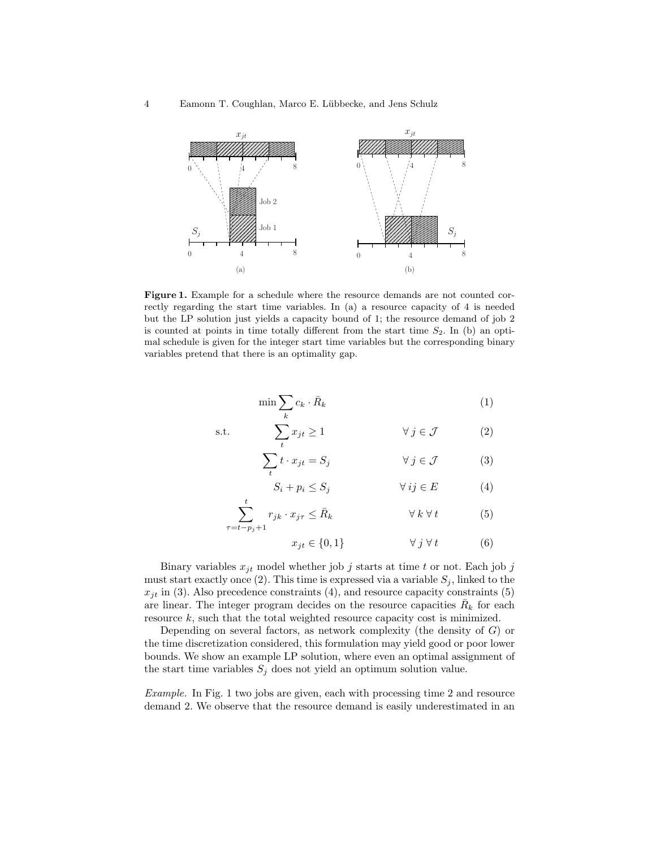

Figure 1. Example for a schedule where the resource demands are not counted correctly regarding the start time variables. In (a) a resource capacity of 4 is needed but the LP solution just yields a capacity bound of 1; the resource demand of job 2 is counted at points in time totally different from the start time  $S_2$ . In (b) an optimal schedule is given for the integer start time variables but the corresponding binary variables pretend that there is an optimality gap.

$$
\min \sum_{k} c_k \cdot \bar{R}_k \tag{1}
$$

$$
\text{s.t.} \qquad \sum_{t} x_{jt} \ge 1 \qquad \qquad \forall \ j \in \mathcal{J} \tag{2}
$$

$$
\sum_{t} t \cdot x_{jt} = S_j \qquad \forall j \in \mathcal{J} \qquad (3)
$$

$$
S_i + p_i \le S_j \qquad \qquad \forall \, ij \in E \tag{4}
$$

$$
\sum_{\tau=t-p_j+1}^t r_{jk} \cdot x_{j\tau} \le \bar{R}_k \qquad \forall k \,\forall\, t \tag{5}
$$

$$
x_{jt} \in \{0, 1\} \qquad \forall j \forall t \qquad (6)
$$

Binary variables  $x_{it}$  model whether job j starts at time t or not. Each job j must start exactly once (2). This time is expressed via a variable  $S_j$ , linked to the  $x_{jt}$  in (3). Also precedence constraints (4), and resource capacity constraints (5) are linear. The integer program decides on the resource capacities  $\bar{R}_k$  for each resource k, such that the total weighted resource capacity cost is minimized.

Depending on several factors, as network complexity (the density of  $G$ ) or the time discretization considered, this formulation may yield good or poor lower bounds. We show an example LP solution, where even an optimal assignment of the start time variables  $S_j$  does not yield an optimum solution value.

Example. In Fig. 1 two jobs are given, each with processing time 2 and resource demand 2. We observe that the resource demand is easily underestimated in an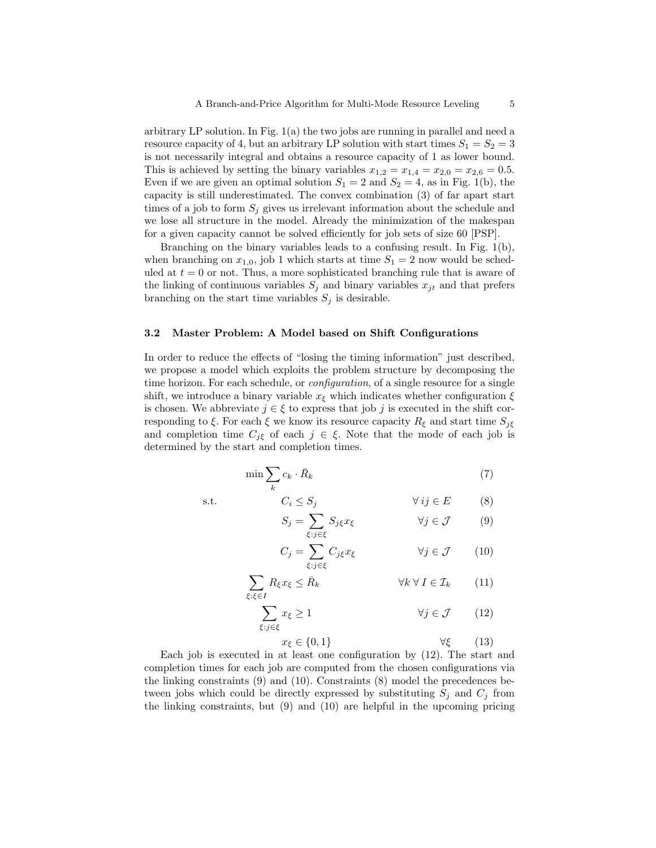arbitrary LP solution. In Fig. 1(a) the two jobs are running in parallel and need a resource capacity of 4, but an arbitrary LP solution with start times  $S_1 = S_2 = 3$ is not necessarily integral and obtains a resource capacity of 1 as lower bound. This is achieved by setting the binary variables  $x_{1,2} = x_{1,4} = x_{2,0} = x_{2,6} = 0.5$ . Even if we are given an optimal solution  $S_1 = 2$  and  $S_2 = 4$ , as in Fig. 1(b), the capacity is still underestimated. The convex combination (3) of far apart start times of a job to form  $S_i$  gives us irrelevant information about the schedule and we lose all structure in the model. Already the minimization of the makespan for a given capacity cannot be solved efficiently for job sets of size 60 [PSP].

Branching on the binary variables leads to a confusing result. In Fig. 1(b), when branching on  $x_{1,0}$ , job 1 which starts at time  $S_1 = 2$  now would be scheduled at  $t = 0$  or not. Thus, a more sophisticated branching rule that is aware of the linking of continuous variables  $S_j$  and binary variables  $x_{jt}$  and that prefers branching on the start time variables  $S_j$  is desirable.

#### 3.2 Master Problem: A Model based on Shift Configurations

In order to reduce the effects of "losing the timing information" just described, we propose a model which exploits the problem structure by decomposing the time horizon. For each schedule, or *configuration*, of a single resource for a single shift, we introduce a binary variable  $x_{\xi}$  which indicates whether configuration  $\xi$ is chosen. We abbreviate  $j \in \xi$  to express that job j is executed in the shift corresponding to  $\xi$ . For each  $\xi$  we know its resource capacity  $R_{\xi}$  and start time  $S_{j\xi}$ and completion time  $C_{j\xi}$  of each  $j \in \xi$ . Note that the mode of each job is determined by the start and completion times.

$$
\min \sum_{k} c_k \cdot \bar{R}_k \tag{7}
$$

s.t.  $C_i \leq S_j$   $\forall ij \in E$  (8)

$$
S_j = \sum_{\xi: j \in \xi} S_{j\xi} x_{\xi} \qquad \forall j \in \mathcal{J} \qquad (9)
$$

$$
C_j = \sum_{\xi: j \in \xi} C_{j\xi} x_{\xi} \qquad \forall j \in \mathcal{J} \qquad (10)
$$

$$
\sum_{\xi:\xi\in I} R_{\xi} x_{\xi} \le \bar{R}_k \qquad \forall k \,\forall \, I \in \mathcal{I}_k \qquad (11)
$$

$$
\sum_{\xi:j\in\xi} x_{\xi} \ge 1 \qquad \forall j \in \mathcal{J} \qquad (12)
$$

$$
x_{\xi} \in \{0, 1\} \qquad \forall \xi \qquad (13)
$$

Each job is executed in at least one configuration by (12). The start and completion times for each job are computed from the chosen configurations via the linking constraints (9) and (10). Constraints (8) model the precedences between jobs which could be directly expressed by substituting  $S_j$  and  $C_j$  from the linking constraints, but (9) and (10) are helpful in the upcoming pricing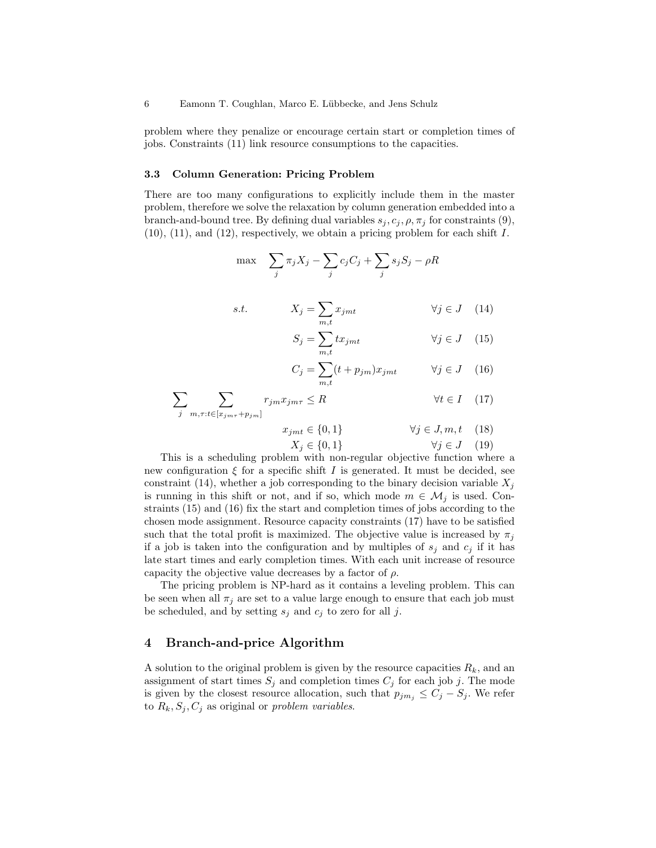problem where they penalize or encourage certain start or completion times of jobs. Constraints (11) link resource consumptions to the capacities.

#### 3.3 Column Generation: Pricing Problem

There are too many configurations to explicitly include them in the master problem, therefore we solve the relaxation by column generation embedded into a branch-and-bound tree. By defining dual variables  $s_j, c_j, \rho, \pi_j$  for constraints (9),  $(10)$ ,  $(11)$ , and  $(12)$ , respectively, we obtain a pricing problem for each shift I.

$$
\max \sum_{j} \pi_j X_j - \sum_{j} c_j C_j + \sum_{j} s_j S_j - \rho R
$$

s.t. 
$$
X_j = \sum_{m,t} x_{jmt} \qquad \forall j \in J \quad (14)
$$

$$
S_j = \sum_{m,t} t x_{jmt} \qquad \qquad \forall j \in J \quad (15)
$$

$$
C_j = \sum_{m,t} (t + p_{jm}) x_{jmt} \qquad \forall j \in J \quad (16)
$$

$$
\sum_{j} \sum_{m,\tau:t \in [x_{j m \tau} + p_{j m}]} r_{j m} x_{j m \tau} \le R \qquad \forall t \in I \quad (17)
$$

$$
x_{jmt} \in \{0, 1\} \qquad \forall j \in J, m, t \quad (18)
$$

$$
X_j \in \{0, 1\} \qquad \forall j \in J \quad (19)
$$

This is a scheduling problem with non-regular objective function where a new configuration  $\xi$  for a specific shift I is generated. It must be decided, see constraint (14), whether a job corresponding to the binary decision variable  $X_i$ is running in this shift or not, and if so, which mode  $m \in \mathcal{M}_j$  is used. Constraints (15) and (16) fix the start and completion times of jobs according to the chosen mode assignment. Resource capacity constraints (17) have to be satisfied such that the total profit is maximized. The objective value is increased by  $\pi_j$ if a job is taken into the configuration and by multiples of  $s_j$  and  $c_j$  if it has late start times and early completion times. With each unit increase of resource capacity the objective value decreases by a factor of  $\rho$ .

The pricing problem is NP-hard as it contains a leveling problem. This can be seen when all  $\pi_i$  are set to a value large enough to ensure that each job must be scheduled, and by setting  $s_i$  and  $c_i$  to zero for all j.

## 4 Branch-and-price Algorithm

A solution to the original problem is given by the resource capacities  $R_k$ , and an assignment of start times  $S_j$  and completion times  $C_j$  for each job j. The mode is given by the closest resource allocation, such that  $p_{jm_j} \leq C_j - S_j$ . We refer to  $R_k$ ,  $S_j$ ,  $C_j$  as original or *problem variables*.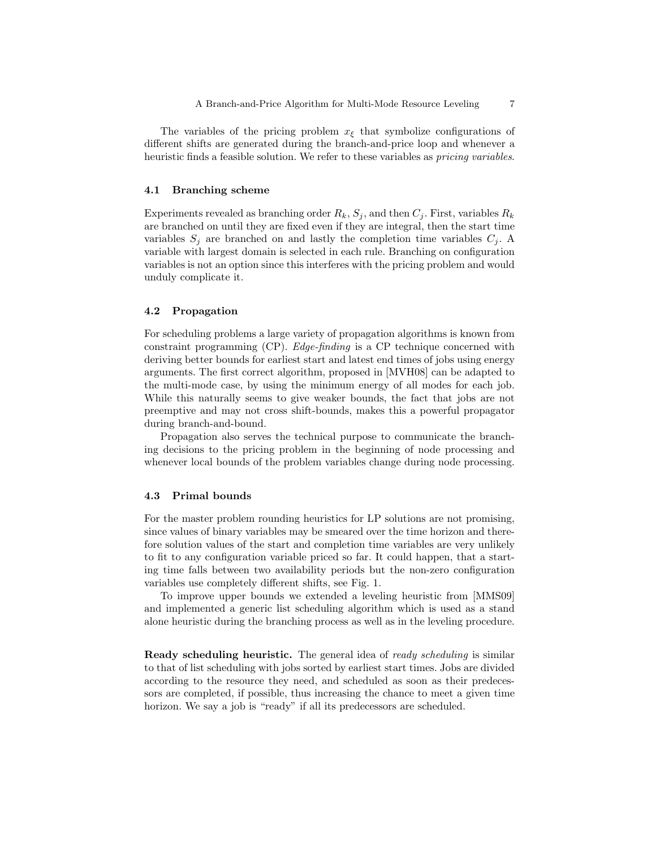The variables of the pricing problem  $x_{\xi}$  that symbolize configurations of different shifts are generated during the branch-and-price loop and whenever a heuristic finds a feasible solution. We refer to these variables as *pricing variables*.

#### 4.1 Branching scheme

Experiments revealed as branching order  $R_k$ ,  $S_j$ , and then  $C_j$ . First, variables  $R_k$ are branched on until they are fixed even if they are integral, then the start time variables  $S_i$  are branched on and lastly the completion time variables  $C_i$ . variable with largest domain is selected in each rule. Branching on configuration variables is not an option since this interferes with the pricing problem and would unduly complicate it.

## 4.2 Propagation

For scheduling problems a large variety of propagation algorithms is known from constraint programming (CP). Edge-finding is a CP technique concerned with deriving better bounds for earliest start and latest end times of jobs using energy arguments. The first correct algorithm, proposed in [MVH08] can be adapted to the multi-mode case, by using the minimum energy of all modes for each job. While this naturally seems to give weaker bounds, the fact that jobs are not preemptive and may not cross shift-bounds, makes this a powerful propagator during branch-and-bound.

Propagation also serves the technical purpose to communicate the branching decisions to the pricing problem in the beginning of node processing and whenever local bounds of the problem variables change during node processing.

## 4.3 Primal bounds

For the master problem rounding heuristics for LP solutions are not promising, since values of binary variables may be smeared over the time horizon and therefore solution values of the start and completion time variables are very unlikely to fit to any configuration variable priced so far. It could happen, that a starting time falls between two availability periods but the non-zero configuration variables use completely different shifts, see Fig. 1.

To improve upper bounds we extended a leveling heuristic from [MMS09] and implemented a generic list scheduling algorithm which is used as a stand alone heuristic during the branching process as well as in the leveling procedure.

**Ready scheduling heuristic.** The general idea of ready scheduling is similar to that of list scheduling with jobs sorted by earliest start times. Jobs are divided according to the resource they need, and scheduled as soon as their predecessors are completed, if possible, thus increasing the chance to meet a given time horizon. We say a job is "ready" if all its predecessors are scheduled.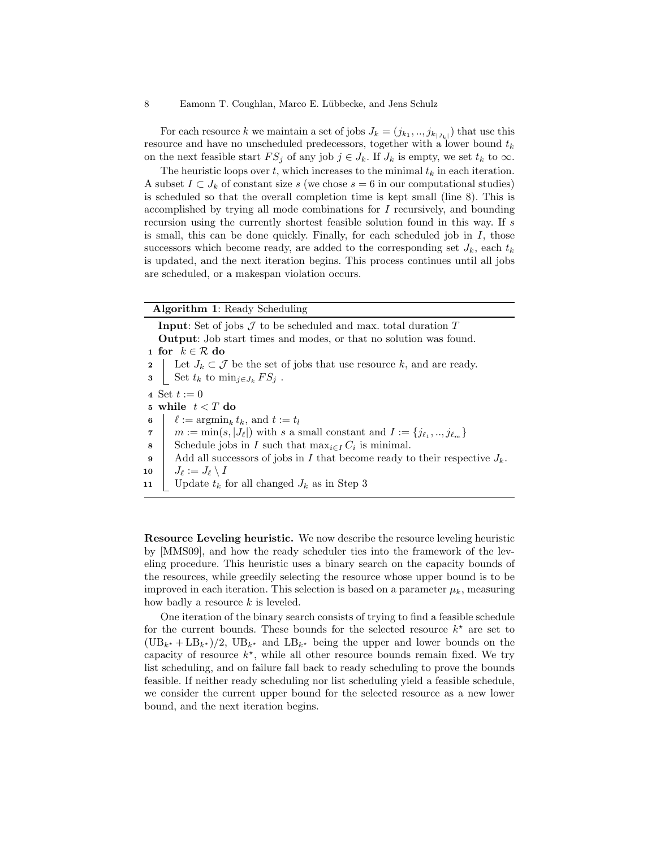For each resource k we maintain a set of jobs  $J_k = (j_{k_1},...,j_{k_{|J_k|}})$  that use this resource and have no unscheduled predecessors, together with a lower bound  $t_k$ on the next feasible start  $FS_j$  of any job  $j \in J_k$ . If  $J_k$  is empty, we set  $t_k$  to  $\infty$ .

The heuristic loops over t, which increases to the minimal  $t_k$  in each iteration. A subset  $I \subset J_k$  of constant size s (we chose  $s = 6$  in our computational studies) is scheduled so that the overall completion time is kept small (line 8). This is accomplished by trying all mode combinations for I recursively, and bounding recursion using the currently shortest feasible solution found in this way. If s is small, this can be done quickly. Finally, for each scheduled job in  $I$ , those successors which become ready, are added to the corresponding set  $J_k$ , each  $t_k$ is updated, and the next iteration begins. This process continues until all jobs are scheduled, or a makespan violation occurs.

## Algorithm 1: Ready Scheduling

**Input:** Set of jobs  $\mathcal J$  to be scheduled and max. total duration  $T$ Output: Job start times and modes, or that no solution was found. 1 for  $k \in \mathcal{R}$  do 2 Let  $J_k \subset \mathcal{J}$  be the set of jobs that use resource k, and are ready. 3 Set  $t_k$  to  $\min_{j \in J_k} FS_j$ . 4 Set  $t := 0$ 5 while  $t < T$  do 6  $\ell := \operatorname{argmin}_k t_k$ , and  $t := t_l$  $m := \min(s, |J_\ell|)$  with s a small constant and  $I := \{j_{\ell_1},..,j_{\ell_m}\}$ 8 Schedule jobs in I such that  $max_{i \in I} C_i$  is minimal. 9 Add all successors of jobs in I that become ready to their respective  $J_k$ .  $\begin{array}{ccc} \textbf{10} &\quad & J_\ell := J_\ell \setminus I \end{array}$ 11 | Update  $t_k$  for all changed  $J_k$  as in Step 3

Resource Leveling heuristic. We now describe the resource leveling heuristic by [MMS09], and how the ready scheduler ties into the framework of the leveling procedure. This heuristic uses a binary search on the capacity bounds of the resources, while greedily selecting the resource whose upper bound is to be improved in each iteration. This selection is based on a parameter  $\mu_k$ , measuring how badly a resource  $k$  is leveled.

One iteration of the binary search consists of trying to find a feasible schedule for the current bounds. These bounds for the selected resource  $k^*$  are set to  $(\text{UB}_{k^*} + \text{LB}_{k^*})/2$ ,  $\text{UB}_{k^*}$  and  $\text{LB}_{k^*}$  being the upper and lower bounds on the capacity of resource  $k^*$ , while all other resource bounds remain fixed. We try list scheduling, and on failure fall back to ready scheduling to prove the bounds feasible. If neither ready scheduling nor list scheduling yield a feasible schedule, we consider the current upper bound for the selected resource as a new lower bound, and the next iteration begins.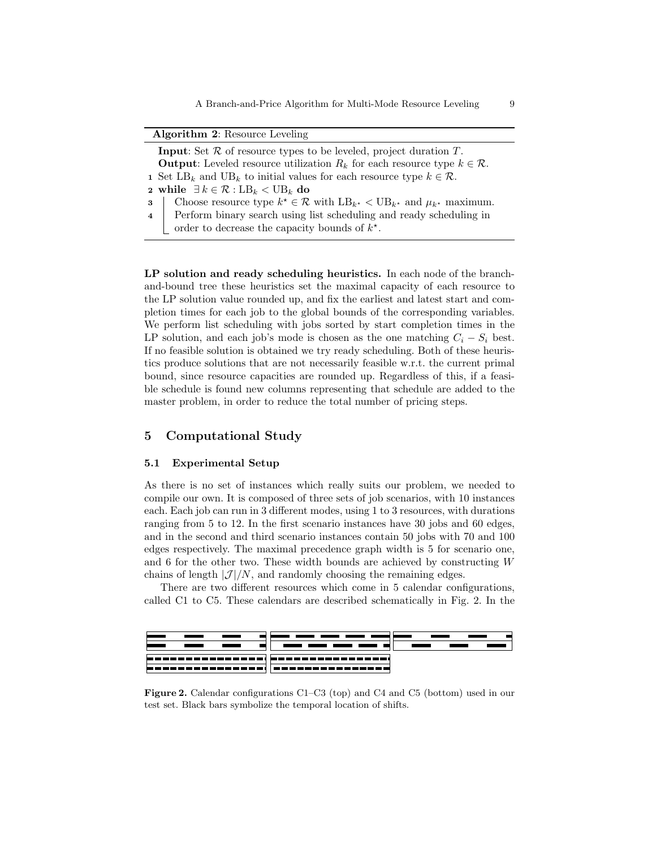A Branch-and-Price Algorithm for Multi-Mode Resource Leveling 9

| <b>Algorithm 2: Resource Leveling</b>                                         |                                                                                                                 |  |  |  |  |  |  |  |
|-------------------------------------------------------------------------------|-----------------------------------------------------------------------------------------------------------------|--|--|--|--|--|--|--|
| <b>Input:</b> Set $R$ of resource types to be leveled, project duration $T$ . |                                                                                                                 |  |  |  |  |  |  |  |
|                                                                               | <b>Output:</b> Leveled resource utilization $R_k$ for each resource type $k \in \mathcal{R}$ .                  |  |  |  |  |  |  |  |
|                                                                               | <b>1</b> Set LB <sub>k</sub> and UB <sub>k</sub> to initial values for each resource type $k \in \mathcal{R}$ . |  |  |  |  |  |  |  |
|                                                                               | 2 while $\exists k \in \mathcal{R} : LB_k < UB_k$ do                                                            |  |  |  |  |  |  |  |
| $\mathbf{3}$                                                                  | Choose resource type $k^* \in \mathcal{R}$ with $LB_{k^*} < UB_{k^*}$ and $\mu_{k^*}$ maximum.                  |  |  |  |  |  |  |  |
| $\overline{4}$                                                                | Perform binary search using list scheduling and ready scheduling in                                             |  |  |  |  |  |  |  |
|                                                                               | order to decrease the capacity bounds of $k^*$ .                                                                |  |  |  |  |  |  |  |

LP solution and ready scheduling heuristics. In each node of the branchand-bound tree these heuristics set the maximal capacity of each resource to the LP solution value rounded up, and fix the earliest and latest start and completion times for each job to the global bounds of the corresponding variables. We perform list scheduling with jobs sorted by start completion times in the LP solution, and each job's mode is chosen as the one matching  $C_i - S_i$  best. If no feasible solution is obtained we try ready scheduling. Both of these heuristics produce solutions that are not necessarily feasible w.r.t. the current primal bound, since resource capacities are rounded up. Regardless of this, if a feasible schedule is found new columns representing that schedule are added to the master problem, in order to reduce the total number of pricing steps.

## 5 Computational Study

#### 5.1 Experimental Setup

As there is no set of instances which really suits our problem, we needed to compile our own. It is composed of three sets of job scenarios, with 10 instances each. Each job can run in 3 different modes, using 1 to 3 resources, with durations ranging from 5 to 12. In the first scenario instances have 30 jobs and 60 edges, and in the second and third scenario instances contain 50 jobs with 70 and 100 edges respectively. The maximal precedence graph width is 5 for scenario one, and 6 for the other two. These width bounds are achieved by constructing W chains of length  $|\mathcal{J}|/N$ , and randomly choosing the remaining edges.

There are two different resources which come in 5 calendar configurations, called C1 to C5. These calendars are described schematically in Fig. 2. In the



Figure 2. Calendar configurations C1–C3 (top) and C4 and C5 (bottom) used in our test set. Black bars symbolize the temporal location of shifts.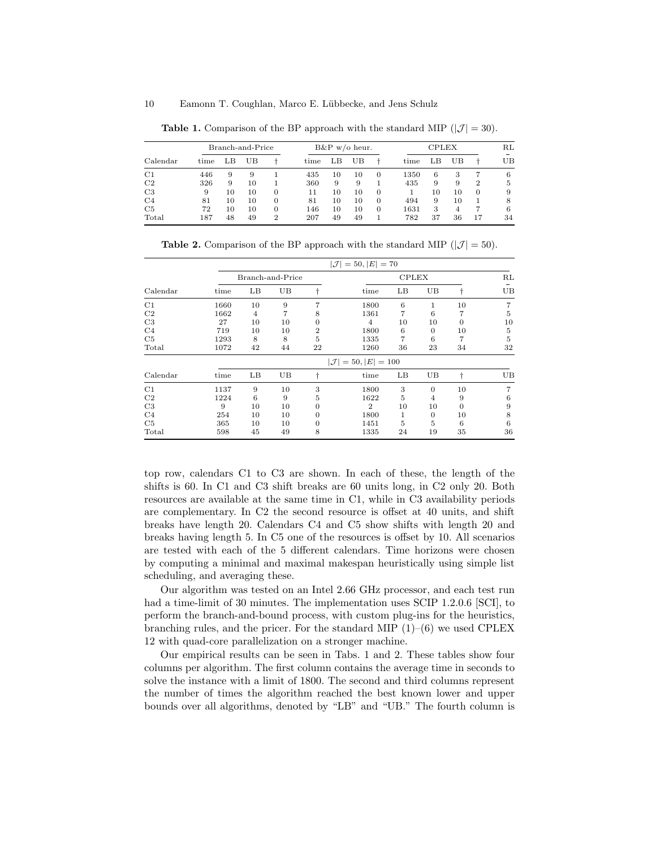|                | Branch-and-Price |    |    |   | $B\&P$ w/o heur. |    |    |          |      | <b>CPLEX</b> |    |    |    |
|----------------|------------------|----|----|---|------------------|----|----|----------|------|--------------|----|----|----|
| Calendar       | time             | LΒ | UB |   | time             | LΒ | UВ |          | time | LΒ           | UB |    | UΒ |
| C1             | 446              | 9  | 9  |   | 435              | 10 | 10 | $\Omega$ | 1350 | 6            | 3  |    | 6  |
| C2             | 326              | 9  | 10 |   | 360              | 9  | 9  |          | 435  | 9            | 9  | 2  | 5  |
| C <sub>3</sub> | 9                | 10 | 10 | 0 | 11               | 10 | 10 | 0        |      | 10           | 10 | 0  | 9  |
| C <sub>4</sub> | 81               | 10 | 10 | 0 | 81               | 10 | 10 | $\Omega$ | 494  | 9            | 10 |    | 8  |
| C5             | 72               | 10 | 10 | 0 | 146              | 10 | 10 | $\Omega$ | 1631 | 3            | 4  |    | 6  |
| Total          | 187              | 48 | 49 | 2 | 207              | 49 | 49 |          | 782  | 37           | 36 | 17 | 34 |

**Table 1.** Comparison of the BP approach with the standard MIP  $(|\mathcal{J}| = 30)$ .

**Table 2.** Comparison of the BP approach with the standard MIP ( $|\mathcal{J}| = 50$ ).

|                | $ \mathcal{J}  = 50,  E  = 70$ |                                 |                  |                |                |    |          |          |    |  |  |
|----------------|--------------------------------|---------------------------------|------------------|----------------|----------------|----|----------|----------|----|--|--|
|                |                                |                                 | Branch-and-Price |                | <b>CPLEX</b>   |    |          |          |    |  |  |
| Calendar       | time                           | LB                              | UB               |                | time           | LB | UB       |          | UB |  |  |
| C1             | 1660                           | 10                              | 9                | 7              | 1800           | 6  | 1        | 10       | 7  |  |  |
| C <sub>2</sub> | 1662                           | 4                               | 7                | 8              | 1361           | 7  | 6        | 7        | 5  |  |  |
| C <sub>3</sub> | 27                             | 10                              | 10               | 0              | $\overline{4}$ | 10 | 10       | $\theta$ | 10 |  |  |
| C <sub>4</sub> | 719                            | 10                              | 10               | $\overline{2}$ | 1800           | 6  | $\theta$ | 10       | 5  |  |  |
| C5             | 1293                           | 8                               | 8                | 5              | 1335           | 7  | 6        | 7        | 5  |  |  |
| Total          | 1072                           | 42                              | 44               | 22             | 1260           | 36 | 23       | 34       | 32 |  |  |
|                |                                | $ \mathcal{J}  = 50,  E  = 100$ |                  |                |                |    |          |          |    |  |  |
| Calendar       | time                           | LB                              | UB               |                | time           | LB | UB       | t        | UB |  |  |
| C1             | 1137                           | 9                               | 10               | 3              | 1800           | 3  | $\theta$ | 10       | 7  |  |  |
| C <sub>2</sub> | 1224                           | 6                               | 9                | 5              | 1622           | 5  | 4        | 9        | 6  |  |  |
| C <sub>3</sub> | 9                              | 10                              | 10               |                | $\overline{2}$ | 10 | 10       | $\theta$ | 9  |  |  |
| C <sub>4</sub> | 254                            | 10                              | 10               | 0              | 1800           | 1  | $\theta$ | 10       | 8  |  |  |
| C5             | 365                            | 10                              | 10               | 0              | 1451           | 5  | 5        | 6        | 6  |  |  |
| Total          | 598                            | 45                              | 49               | 8              | 1335           | 24 | 19       | 35       | 36 |  |  |

top row, calendars C1 to C3 are shown. In each of these, the length of the shifts is 60. In C1 and C3 shift breaks are 60 units long, in C2 only 20. Both resources are available at the same time in C1, while in C3 availability periods are complementary. In C2 the second resource is offset at 40 units, and shift breaks have length 20. Calendars C4 and C5 show shifts with length 20 and breaks having length 5. In C5 one of the resources is offset by 10. All scenarios are tested with each of the 5 different calendars. Time horizons were chosen by computing a minimal and maximal makespan heuristically using simple list scheduling, and averaging these.

Our algorithm was tested on an Intel 2.66 GHz processor, and each test run had a time-limit of 30 minutes. The implementation uses SCIP 1.2.0.6 [SCI], to perform the branch-and-bound process, with custom plug-ins for the heuristics, branching rules, and the pricer. For the standard MIP  $(1)$ – $(6)$  we used CPLEX 12 with quad-core parallelization on a stronger machine.

Our empirical results can be seen in Tabs. 1 and 2. These tables show four columns per algorithm. The first column contains the average time in seconds to solve the instance with a limit of 1800. The second and third columns represent the number of times the algorithm reached the best known lower and upper bounds over all algorithms, denoted by "LB" and "UB." The fourth column is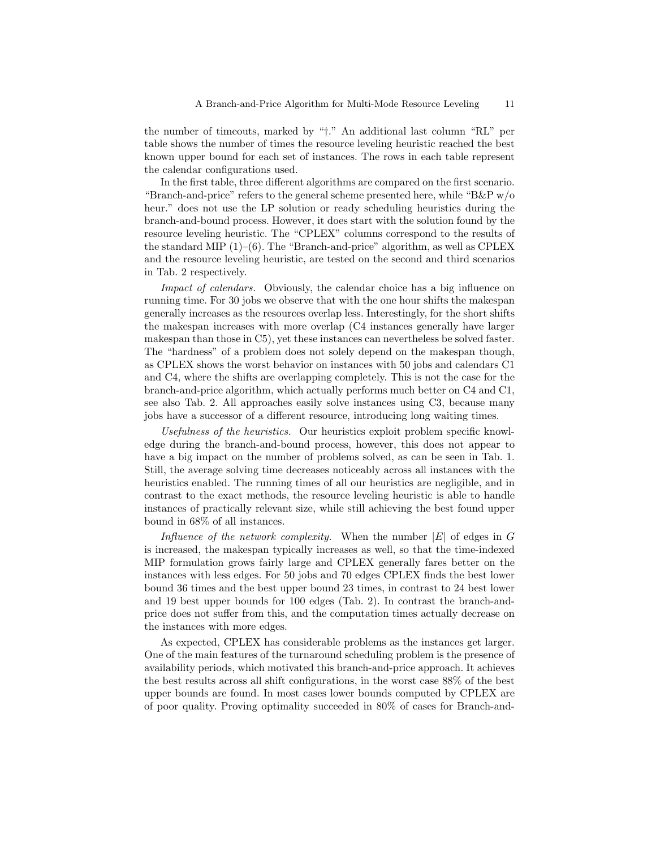the number of timeouts, marked by "†." An additional last column "RL" per table shows the number of times the resource leveling heuristic reached the best known upper bound for each set of instances. The rows in each table represent the calendar configurations used.

In the first table, three different algorithms are compared on the first scenario. "Branch-and-price" refers to the general scheme presented here, while "B&P w/o heur." does not use the LP solution or ready scheduling heuristics during the branch-and-bound process. However, it does start with the solution found by the resource leveling heuristic. The "CPLEX" columns correspond to the results of the standard MIP  $(1)$ – $(6)$ . The "Branch-and-price" algorithm, as well as CPLEX and the resource leveling heuristic, are tested on the second and third scenarios in Tab. 2 respectively.

Impact of calendars. Obviously, the calendar choice has a big influence on running time. For 30 jobs we observe that with the one hour shifts the makespan generally increases as the resources overlap less. Interestingly, for the short shifts the makespan increases with more overlap (C4 instances generally have larger makespan than those in C5), yet these instances can nevertheless be solved faster. The "hardness" of a problem does not solely depend on the makespan though, as CPLEX shows the worst behavior on instances with 50 jobs and calendars C1 and C4, where the shifts are overlapping completely. This is not the case for the branch-and-price algorithm, which actually performs much better on C4 and C1, see also Tab. 2. All approaches easily solve instances using C3, because many jobs have a successor of a different resource, introducing long waiting times.

Usefulness of the heuristics. Our heuristics exploit problem specific knowledge during the branch-and-bound process, however, this does not appear to have a big impact on the number of problems solved, as can be seen in Tab. 1. Still, the average solving time decreases noticeably across all instances with the heuristics enabled. The running times of all our heuristics are negligible, and in contrast to the exact methods, the resource leveling heuristic is able to handle instances of practically relevant size, while still achieving the best found upper bound in 68% of all instances.

Influence of the network complexity. When the number  $|E|$  of edges in G is increased, the makespan typically increases as well, so that the time-indexed MIP formulation grows fairly large and CPLEX generally fares better on the instances with less edges. For 50 jobs and 70 edges CPLEX finds the best lower bound 36 times and the best upper bound 23 times, in contrast to 24 best lower and 19 best upper bounds for 100 edges (Tab. 2). In contrast the branch-andprice does not suffer from this, and the computation times actually decrease on the instances with more edges.

As expected, CPLEX has considerable problems as the instances get larger. One of the main features of the turnaround scheduling problem is the presence of availability periods, which motivated this branch-and-price approach. It achieves the best results across all shift configurations, in the worst case 88% of the best upper bounds are found. In most cases lower bounds computed by CPLEX are of poor quality. Proving optimality succeeded in 80% of cases for Branch-and